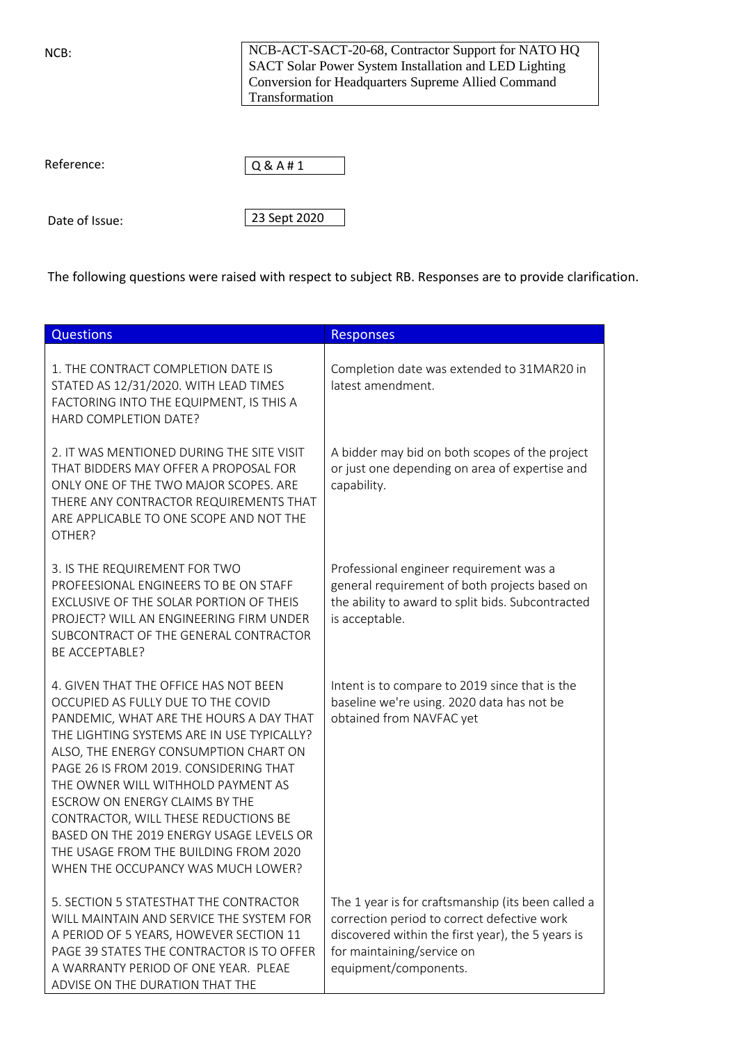NCB:

NCB-ACT-SACT-20-68, Contractor Support for NATO HQ SACT Solar Power System Installation and LED Lighting Conversion for Headquarters Supreme Allied Command Transformation

Reference:



Date of Issue:

23 Sept 2020

The following questions were raised with respect to subject RB. Responses are to provide clarification.

| Questions                                                                                                                                                                                                                                                                                                                                                                                                                                                                                          | <b>Responses</b>                                                                                                                                                                                              |
|----------------------------------------------------------------------------------------------------------------------------------------------------------------------------------------------------------------------------------------------------------------------------------------------------------------------------------------------------------------------------------------------------------------------------------------------------------------------------------------------------|---------------------------------------------------------------------------------------------------------------------------------------------------------------------------------------------------------------|
| 1. THE CONTRACT COMPLETION DATE IS<br>STATED AS 12/31/2020. WITH LEAD TIMES<br>FACTORING INTO THE EQUIPMENT, IS THIS A<br>HARD COMPLETION DATE?                                                                                                                                                                                                                                                                                                                                                    | Completion date was extended to 31MAR20 in<br>latest amendment.                                                                                                                                               |
| 2. IT WAS MENTIONED DURING THE SITE VISIT<br>THAT BIDDERS MAY OFFER A PROPOSAL FOR<br>ONLY ONE OF THE TWO MAJOR SCOPES. ARE<br>THERE ANY CONTRACTOR REQUIREMENTS THAT<br>ARE APPLICABLE TO ONE SCOPE AND NOT THE<br>OTHER?                                                                                                                                                                                                                                                                         | A bidder may bid on both scopes of the project<br>or just one depending on area of expertise and<br>capability.                                                                                               |
| 3. IS THE REQUIREMENT FOR TWO<br>PROFEESIONAL ENGINEERS TO BE ON STAFF<br>EXCLUSIVE OF THE SOLAR PORTION OF THEIS<br>PROJECT? WILL AN ENGINEERING FIRM UNDER<br>SUBCONTRACT OF THE GENERAL CONTRACTOR<br><b>BE ACCEPTABLE?</b>                                                                                                                                                                                                                                                                     | Professional engineer requirement was a<br>general requirement of both projects based on<br>the ability to award to split bids. Subcontracted<br>is acceptable.                                               |
| 4. GIVEN THAT THE OFFICE HAS NOT BEEN<br>OCCUPIED AS FULLY DUE TO THE COVID<br>PANDEMIC, WHAT ARE THE HOURS A DAY THAT<br>THE LIGHTING SYSTEMS ARE IN USE TYPICALLY?<br>ALSO, THE ENERGY CONSUMPTION CHART ON<br>PAGE 26 IS FROM 2019. CONSIDERING THAT<br>THE OWNER WILL WITHHOLD PAYMENT AS<br>ESCROW ON ENERGY CLAIMS BY THE<br>CONTRACTOR, WILL THESE REDUCTIONS BE<br>BASED ON THE 2019 ENERGY USAGE LEVELS OR<br>THE USAGE FROM THE BUILDING FROM 2020<br>WHEN THE OCCUPANCY WAS MUCH LOWER? | Intent is to compare to 2019 since that is the<br>baseline we're using. 2020 data has not be<br>obtained from NAVFAC yet                                                                                      |
| 5. SECTION 5 STATESTHAT THE CONTRACTOR<br>WILL MAINTAIN AND SERVICE THE SYSTEM FOR<br>A PERIOD OF 5 YEARS, HOWEVER SECTION 11<br>PAGE 39 STATES THE CONTRACTOR IS TO OFFER<br>A WARRANTY PERIOD OF ONE YEAR. PLEAE<br>ADVISE ON THE DURATION THAT THE                                                                                                                                                                                                                                              | The 1 year is for craftsmanship (its been called a<br>correction period to correct defective work<br>discovered within the first year), the 5 years is<br>for maintaining/service on<br>equipment/components. |